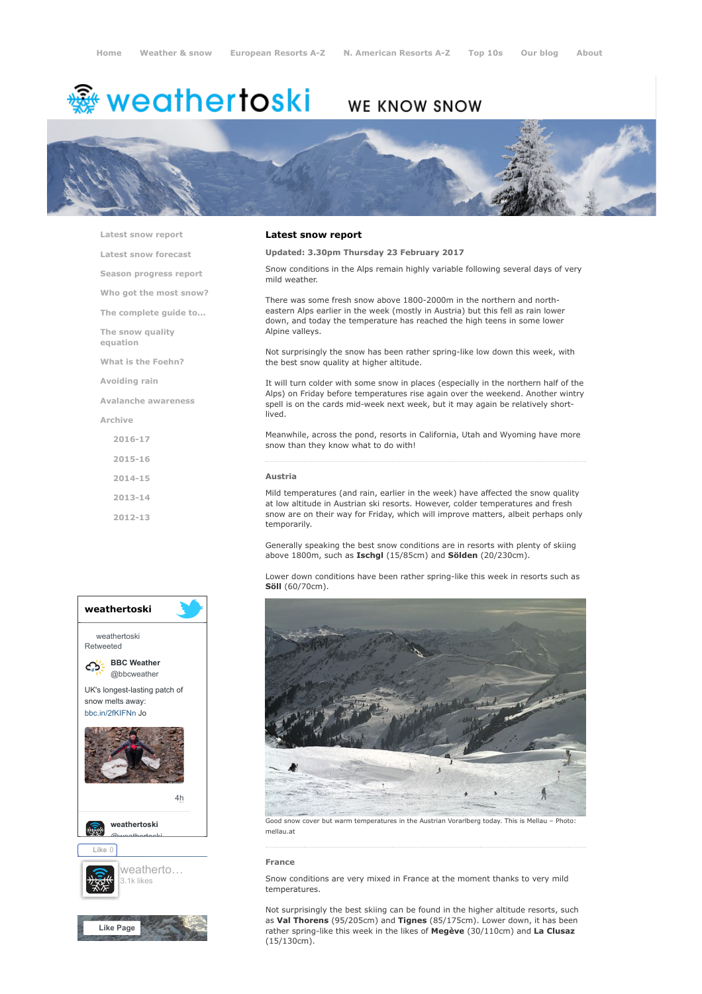# <sup>鑫</sup> weathertoski

# WE KNOW SNOW



[Latest snow report](https://www.weathertoski.co.uk/weather-snow/latest-snow-report/)

[Latest snow forecast](https://www.weathertoski.co.uk/weather-snow/latest-snow-forecast/)

[Season progress report](https://www.weathertoski.co.uk/weather-snow/season-progress-report/)

[Who got the most snow?](https://www.weathertoski.co.uk/weather-snow/who-got-the-most-snow/)

[The complete guide to...](https://www.weathertoski.co.uk/weather-snow/the-complete-guide-to/)

[The snow quality](https://www.weathertoski.co.uk/weather-snow/the-snow-quality-equation/)

[What is the Foehn?](https://www.weathertoski.co.uk/weather-snow/what-is-the-foehn/)

[Avoiding rain](https://www.weathertoski.co.uk/weather-snow/avoiding-rain/)

equation

[Avalanche awareness](https://www.weathertoski.co.uk/weather-snow/avalanche-awareness/)

[Archive](https://www.weathertoski.co.uk/weather-snow/archive/)

- [2016-17](https://www.weathertoski.co.uk/weather-snow/archive/2016-17/) [2015-16](https://www.weathertoski.co.uk/weather-snow/archive/2015-16/)
- [2014-15](https://www.weathertoski.co.uk/weather-snow/archive/2014-15/)
- [2013-14](https://www.weathertoski.co.uk/weather-snow/archive/2013-14/)
- [2012-13](https://www.weathertoski.co.uk/weather-snow/archive/2012-13/)



# Latest snow report

Updated: 3.30pm Thursday 23 February 2017

Snow conditions in the Alps remain highly variable following several days of very mild weather.

There was some fresh snow above 1800-2000m in the northern and northeastern Alps earlier in the week (mostly in Austria) but this fell as rain lower down, and today the temperature has reached the high teens in some lower Alpine valleys.

Not surprisingly the snow has been rather spring-like low down this week, with the best snow quality at higher altitude.

It will turn colder with some snow in places (especially in the northern half of the Alps) on Friday before temperatures rise again over the weekend. Another wintry spell is on the cards mid-week next week, but it may again be relatively shortlived.

Meanwhile, across the pond, resorts in California, Utah and Wyoming have more snow than they know what to do with!

# Austria

Mild temperatures (and rain, earlier in the week) have affected the snow quality at low altitude in Austrian ski resorts. However, colder temperatures and fresh snow are on their way for Friday, which will improve matters, albeit perhaps only temporarily.

Generally speaking the best snow conditions are in resorts with plenty of skiing above 1800m, such as Ischgl (15/85cm) and Sölden (20/230cm).

Lower down conditions have been rather spring-like this week in resorts such as Söll (60/70cm).



Good snow cover but warm temperatures in the Austrian Vorarlberg today. This is Mellau – Photo: mellau.at

#### France

Snow conditions are very mixed in France at the moment thanks to very mild temperatures.

Not surprisingly the best skiing can be found in the higher altitude resorts, such as Val Thorens (95/205cm) and Tignes (85/175cm). Lower down, it has been rather spring-like this week in the likes of Megève (30/110cm) and La Clusaz (15/130cm).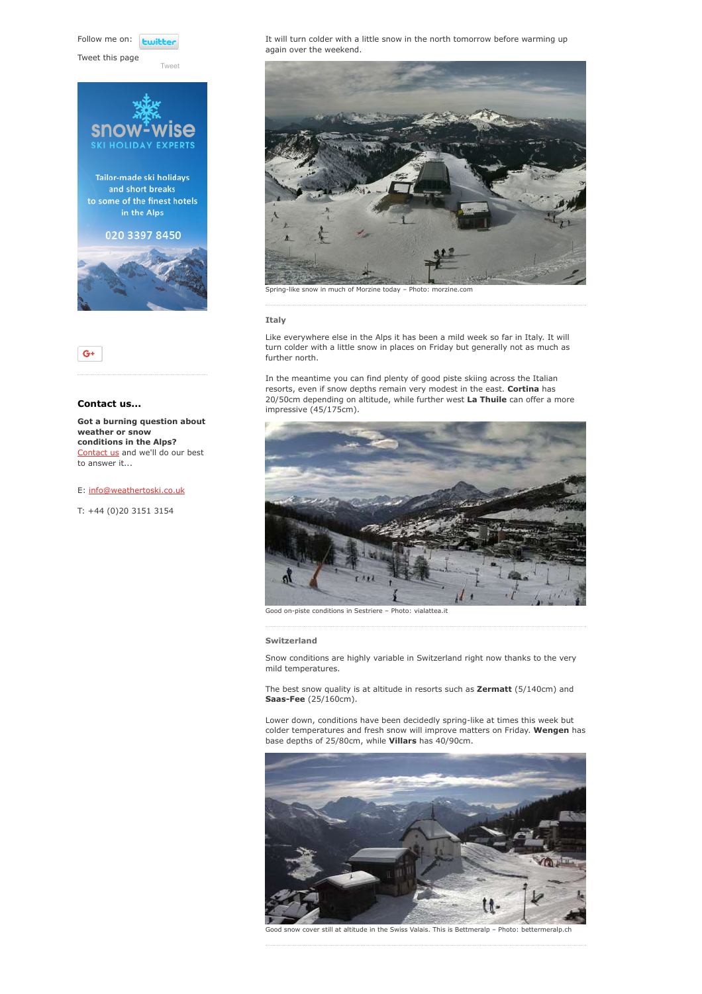Follow me on: *<u>twitter</u>* 

[Tweet](https://twitter.com/intent/tweet?original_referer=https%3A%2F%2Fwww.weathertoski.co.uk%2Fweather-snow%2Farchive%2Fsnow-report-23-02-2017%2F&ref_src=twsrc%5Etfw&text=Weather%20to%20ski%20-%20Snow%20report%20-%2023%20February%202017&tw_p=tweetbutton&url=https%3A%2F%2Fwww.weathertoski.co.uk%2Fweather-snow%2Farchive%2Fsnow-report-23-02-2017%2F)

Tweet this page







# Contact us...

Got a burning question about weather or snow conditions in the Alps? [Contact us](https://www.weathertoski.co.uk/about-1/contact-us/) and we'll do our best to answer it...

# E: [info@weathertoski.co.uk](mailto:fraser@weathertoski.co.uk)

T: +44 (0)20 3151 3154

It will turn colder with a little snow in the north tomorrow before warming up again over the weekend.



## Italy

Like everywhere else in the Alps it has been a mild week so far in Italy. It will turn colder with a little snow in places on Friday but generally not as much as further north.

In the meantime you can find plenty of good piste skiing across the Italian resorts, even if snow depths remain very modest in the east. Cortina has 20/50cm depending on altitude, while further west La Thuile can offer a more impressive (45/175cm).



Good on-piste conditions in Sestriere – Photo: vialattea.it

#### Switzerland

Snow conditions are highly variable in Switzerland right now thanks to the very mild temperatures.

The best snow quality is at altitude in resorts such as Zermatt (5/140cm) and Saas-Fee (25/160cm).

Lower down, conditions have been decidedly spring-like at times this week but colder temperatures and fresh snow will improve matters on Friday. Wengen has base depths of 25/80cm, while Villars has 40/90cm.



Good snow cover still at altitude in the Swiss Valais. This is Bettmeralp – Photo: bettermeralp.ch